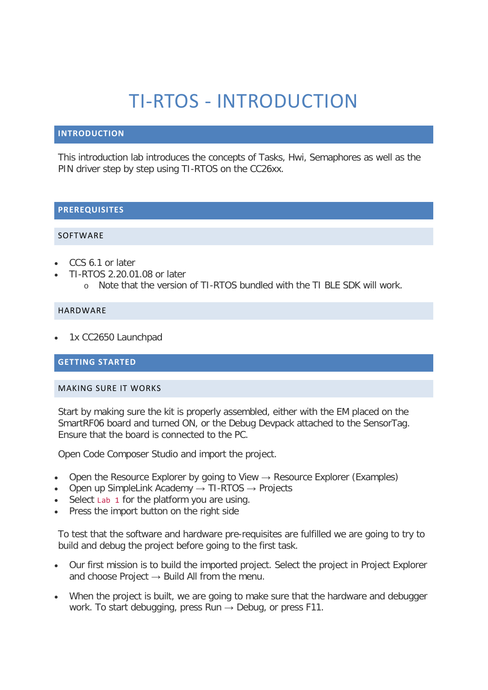# TI-RTOS - INTRODUCTION

### **INTRODUCTION**

This introduction lab introduces the concepts of Tasks, Hwi, Semaphores as well as the PIN driver step by step using TI-RTOS on the CC26xx.

## **PREREQUISITES**

#### **SOFTWARE**

- CCS 6.1 or later
- TI-RTOS 2.20.01.08 or later
	- o Note that the version of TI-RTOS bundled with the TI BLE SDK will work.

#### HARDWARE

• 1x CC2650 Launchpad

# **GETTING STARTED**

#### MAKING SURE IT WORKS

Start by making sure the kit is properly assembled, either with the EM placed on the SmartRF06 board and turned ON, or the Debug Devpack attached to the SensorTag. Ensure that the board is connected to the PC.

Open Code Composer Studio and import the project.

- Open the Resource Explorer by going to View  $\rightarrow$  Resource Explorer (Examples)
- Open up SimpleLink Academy  $\rightarrow$  TI-RTOS  $\rightarrow$  Projects
- Select Lab 1 for the platform you are using.
- Press the import button on the right side

To test that the software and hardware pre-requisites are fulfilled we are going to try to build and debug the project before going to the first task.

- Our first mission is to build the imported project. Select the project in Project Explorer and choose Project  $\rightarrow$  Build All from the menu.
- When the project is built, we are going to make sure that the hardware and debugger work. To start debugging, press Run  $\rightarrow$  Debug, or press F11.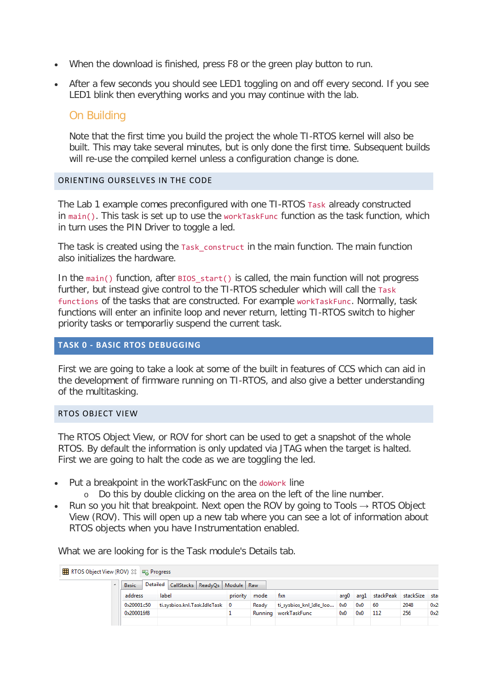- When the download is finished, press F8 or the green play button to run.
- After a few seconds you should see LED1 toggling on and off every second. If you see LED1 blink then everything works and you may continue with the lab.

# On Building

Note that the first time you build the project the whole TI-RTOS kernel will also be built. This may take several minutes, but is only done the first time. Subsequent builds will re-use the compiled kernel unless a configuration change is done.

## ORIENTING OURSELVES IN THE CODE

The Lab 1 example comes preconfigured with one TI-RTOS Task already constructed  $in$  main(). This task is set up to use the workTaskFunc function as the task function, which in turn uses the PIN Driver to toggle a led.

The task is created using the Task construct in the main function. The main function also initializes the hardware.

In the main() function, after  $BIOS$  start() is called, the main function will not progress further, but instead give control to the TI-RTOS scheduler which will call the Task functions of the tasks that are constructed. For example workTaskFunc. Normally, task functions will enter an infinite loop and never return, letting TI-RTOS switch to higher priority tasks or temporarliy suspend the current task.

# **TASK 0 - BASIC RTOS DEBUGGING**

First we are going to take a look at some of the built in features of CCS which can aid in the development of firmware running on TI-RTOS, and also give a better understanding of the multitasking.

#### RTOS OBJECT VIEW

The RTOS Object View, or ROV for short can be used to get a snapshot of the whole RTOS. By default the information is only updated via JTAG when the target is halted. First we are going to halt the code as we are toggling the led.

- Put a breakpoint in the workTaskFunc on the doWork line
	- o Do this by double clicking on the area on the left of the line number.
- Run so you hit that breakpoint. Next open the ROV by going to Tools  $\rightarrow$  RTOS Object View (ROV). This will open up a new tab where you can see a lot of information about RTOS objects when you have Instrumentation enabled.

What we are looking for is the Task module's Details tab.

| RELARDING TO SO Diect View (ROV) $\boxtimes$ FR Progress |              |                                              |          |       |                             |     |     |                                    |      |      |
|----------------------------------------------------------|--------------|----------------------------------------------|----------|-------|-----------------------------|-----|-----|------------------------------------|------|------|
|                                                          | <b>Basic</b> | Detailed CallStacks   ReadyQs   Module   Raw |          |       |                             |     |     |                                    |      |      |
|                                                          | address      | label                                        | priority | mode  | txn                         |     |     | arg0 arg1 stackPeak stackSize stac |      |      |
|                                                          | 0x20001c50   | ti.sysbios.knl.Task.IdleTask 0               |          | Ready | ti_sysbios_knl_Idle_Ioo 0x0 |     | 0x0 | -60                                | 2048 | 0x20 |
|                                                          | 0x200016f8   |                                              |          |       | Running   workTaskFunc      | 0x0 | 0x0 | 112                                | 256  | 0x20 |
|                                                          |              |                                              |          |       |                             |     |     |                                    |      |      |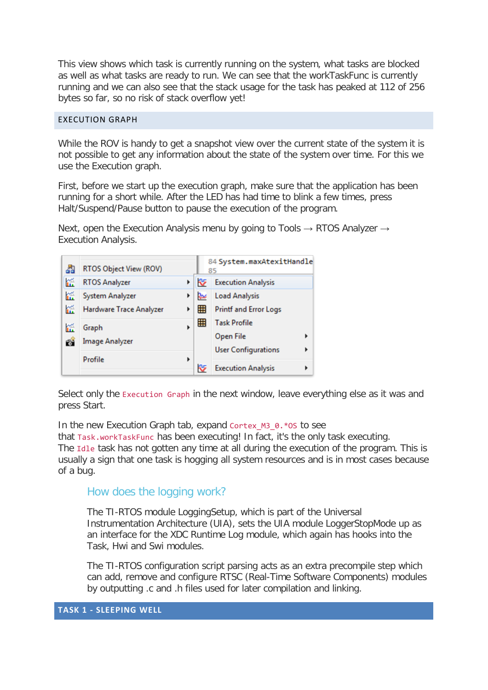This view shows which task is currently running on the system, what tasks are blocked as well as what tasks are ready to run. We can see that the workTaskFunc is currently running and we can also see that the stack usage for the task has peaked at 112 of 256 bytes so far, so no risk of stack overflow yet!

#### EXECUTION GRAPH

While the ROV is handy to get a snapshot view over the current state of the system it is not possible to get any information about the state of the system over time. For this we use the Execution graph.

First, before we start up the execution graph, make sure that the application has been running for a short while. After the LED has had time to blink a few times, press Halt/Suspend/Pause button to pause the execution of the program.

Next, open the Execution Analysis menu by going to Tools  $\rightarrow$  RTOS Analyzer  $\rightarrow$ Execution Analysis.



Select only the Execution Graph in the next window, leave everything else as it was and press Start.

In the new Execution Graph tab, expand Cortex M3 0.\*OS to see

that Task.workTaskFunc has been executing! In fact, it's the only task executing. The Idle task has not gotten any time at all during the execution of the program. This is usually a sign that one task is hogging all system resources and is in most cases because of a bug.

How does the logging work?

The TI-RTOS module LoggingSetup, which is part of the Universal Instrumentation Architecture (UIA), sets the UIA module LoggerStopMode up as an interface for the XDC Runtime Log module, which again has hooks into the Task, Hwi and Swi modules.

The TI-RTOS configuration script parsing acts as an extra precompile step which can add, remove and configure RTSC (Real-Time Software Components) modules by outputting .c and .h files used for later compilation and linking.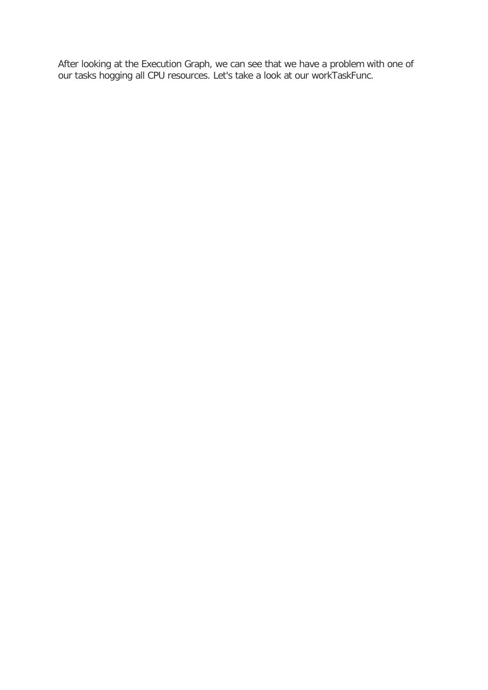After looking at the Execution Graph, we can see that we have a problem with one of our tasks hogging all CPU resources. Let's take a look at our workTaskFunc.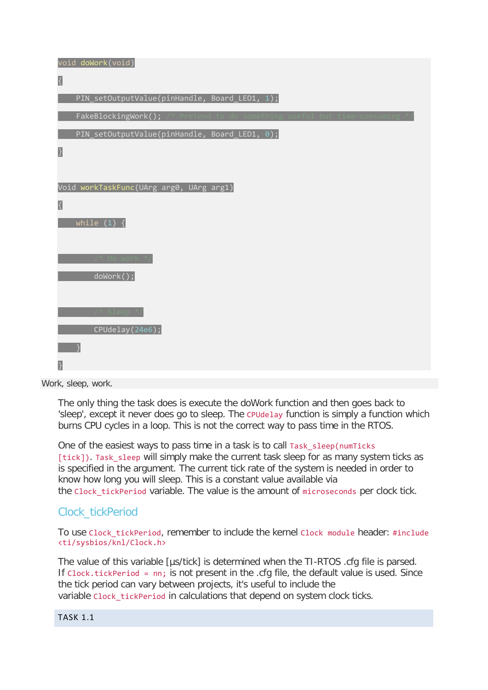void doWork(void) { PIN\_setOutputValue(pinHandle, Board\_LED1, 1); FakeBlockingWork(); PIN\_setOutputValue(pinHandle, Board\_LED1, 0); } Void workTaskFunc(UArg arg0, UArg arg1) { while  $(1)$  { doWork(); CPUdelay(24e6); }

Work, sleep, work.

The only thing the task does is execute the doWork function and then goes back to 'sleep', except it never does go to sleep. The CPUdelay function is simply a function which burns CPU cycles in a loop. This is not the correct way to pass time in the RTOS.

One of the easiest ways to pass time in a task is to call Task sleep(numTicks) [tick]). Task\_sleep will simply make the current task sleep for as many system ticks as is specified in the argument. The current tick rate of the system is needed in order to know how long you will sleep. This is a constant value available via the Clock tickPeriod variable. The value is the amount of microseconds per clock tick.

# Clock\_tickPeriod

To use Clock\_tickPeriod, remember to include the kernel Clock module header: #include <ti/sysbios/knl/Clock.h>

The value of this variable [µs/tick] is determined when the TI-RTOS .cfg file is parsed. If Clock.tickPeriod = nn; is not present in the .cfg file, the default value is used. Since the tick period can vary between projects, it's useful to include the variable Clock tickPeriod in calculations that depend on system clock ticks.

# TASK 1.1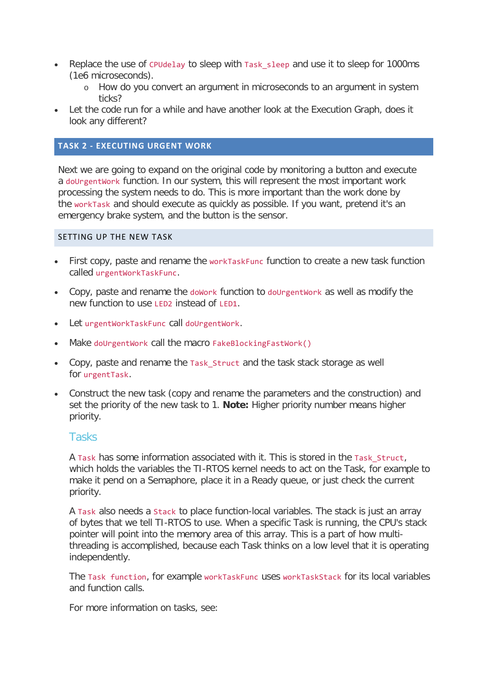- Replace the use of CPUdelay to sleep with Task\_sleep and use it to sleep for 1000ms (1e6 microseconds).
	- o How do you convert an argument in microseconds to an argument in system ticks?
- Let the code run for a while and have another look at the Execution Graph, does it look any different?

# **TASK 2 - EXECUTING URGENT WORK**

Next we are going to expand on the original code by monitoring a button and execute a doUrgentWork function. In our system, this will represent the most important work processing the system needs to do. This is more important than the work done by the workTask and should execute as quickly as possible. If you want, pretend it's an emergency brake system, and the button is the sensor.

#### SETTING UP THE NEW TASK

- First copy, paste and rename the workTaskFunc function to create a new task function called urgentWorkTaskFunc.
- Copy, paste and rename the doWork function to doUrgentWork as well as modify the new function to use LED2 instead of LED1.
- Let urgentWorkTaskFunc call doUrgentWork.
- Make doUrgentWork call the macro FakeBlockingFastWork()
- Copy, paste and rename the Task Struct and the task stack storage as well for urgentTask.
- Construct the new task (copy and rename the parameters and the construction) and set the priority of the new task to 1. **Note:** Higher priority number means higher priority.

## **Tasks**

A Task has some information associated with it. This is stored in the Task\_Struct, which holds the variables the TI-RTOS kernel needs to act on the Task, for example to make it pend on a Semaphore, place it in a Ready queue, or just check the current priority.

A Task also needs a Stack to place function-local variables. The stack is just an array of bytes that we tell TI-RTOS to use. When a specific Task is running, the CPU's stack pointer will point into the memory area of this array. This is a part of how multithreading is accomplished, because each Task thinks on a low level that it is operating independently.

The Task function, for example workTaskFunc uses workTaskStack for its local variables and function calls.

For more information on tasks, see: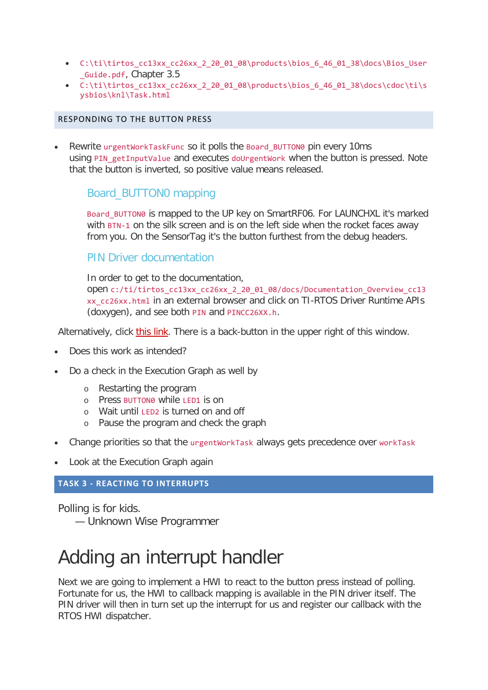- C:\ti\tirtos\_cc13xx\_cc26xx\_2\_20\_01\_08\products\bios\_6\_46\_01\_38\docs\Bios\_User \_Guide.pdf, Chapter 3.5
- $C:\ti\trios$  cc13xx cc26xx 2 20 01 08\products\bios 6 46 01 38\docs\cdoc\ti\s ysbios\knl\Task.html

### RESPONDING TO THE BUTTON PRESS

Rewrite urgentWorkTaskFunc so it polls the Board BUTTON0 pin every 10ms using PIN getInputValue and executes doUrgentWork when the button is pressed. Note that the button is inverted, so positive value means released.

# Board\_BUTTON0 mapping

Board\_BUTTON0 is mapped to the UP key on SmartRF06. For LAUNCHXL it's marked with BTN-1 on the silk screen and is on the left side when the rocket faces away from you. On the SensorTag it's the button furthest from the debug headers.

# PIN Driver documentation

In order to get to the documentation, open c:/ti/tirtos\_cc13xx\_cc26xx\_2\_20\_01\_08/docs/Documentation\_Overview\_cc13 xx\_cc26xx.html in an external browser and click on TI-RTOS Driver Runtime APIs (doxygen), and see both PIN and PINCC26XX.h.

Alternatively, click this link. There is a back-button in the upper right of this window.

- Does this work as intended?
- Do a check in the Execution Graph as well by
	- o Restarting the program
	- o Press BUTTON0 while LED1 is on
	- o Wait until LED2 is turned on and off
	- o Pause the program and check the graph
- Change priorities so that the urgentWorkTask always gets precedence over workTask
- Look at the Execution Graph again

# **TASK 3 - REACTING TO INTERRUPTS**

Polling is for kids. — Unknown Wise Programmer

# Adding an interrupt handler

Next we are going to implement a HWI to react to the button press instead of polling. Fortunate for us, the HWI to callback mapping is available in the PIN driver itself. The PIN driver will then in turn set up the interrupt for us and register our callback with the RTOS HWI dispatcher.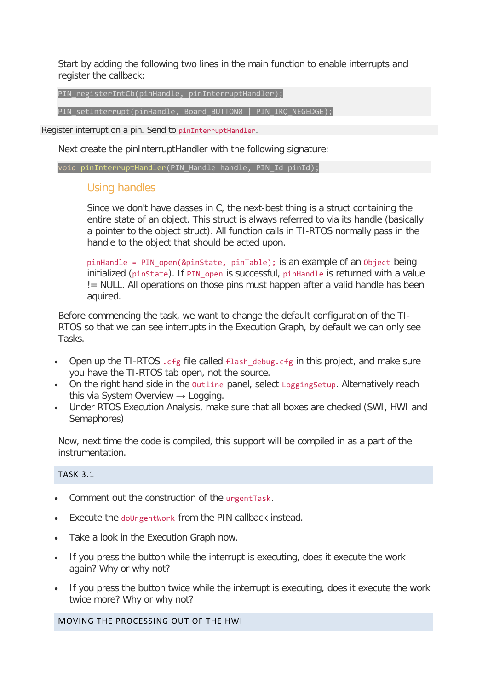Start by adding the following two lines in the main function to enable interrupts and register the callback:

PIN\_registerIntCb(pinHandle, pinInterruptHandler);

PIN\_setInterrupt(pinHandle, Board BUTTON0 | PIN\_IRQ\_NEGEDGE);

Register interrupt on a pin. Send to pinInterruptHandler.

Next create the pinInterruptHandler with the following signature:

void pinInterruptHandler(PIN Handle handle, PIN Id pinId);

# Using handles

Since we don't have classes in C, the next-best thing is a struct containing the entire state of an object. This struct is always referred to via its handle (basically a pointer to the object struct). All function calls in TI-RTOS normally pass in the handle to the object that should be acted upon.

pinHandle = PIN\_open(&pinState, pinTable); is an example of an Object being initialized (pinState). If PIN open is successful, pinHandle is returned with a value != NULL. All operations on those pins must happen after a valid handle has been aquired.

Before commencing the task, we want to change the default configuration of the TI-RTOS so that we can see interrupts in the Execution Graph, by default we can only see Tasks.

- Open up the TI-RTOS . cfg file called flash\_debug. cfg in this project, and make sure you have the TI-RTOS tab open, not the source.
- On the right hand side in the outline panel, select Logging Setup. Alternatively reach this via System Overview  $\rightarrow$  Logging.
- Under RTOS Execution Analysis, make sure that all boxes are checked (SWI, HWI and Semaphores)

Now, next time the code is compiled, this support will be compiled in as a part of the instrumentation.

## TASK 3.1

- Comment out the construction of the urgentTask.
- Execute the doUrgentWork from the PIN callback instead.
- Take a look in the Execution Graph now.
- If you press the button while the interrupt is executing, does it execute the work again? Why or why not?
- If you press the button twice while the interrupt is executing, does it execute the work twice more? Why or why not?

MOVING THE PROCESSING OUT OF THE HWI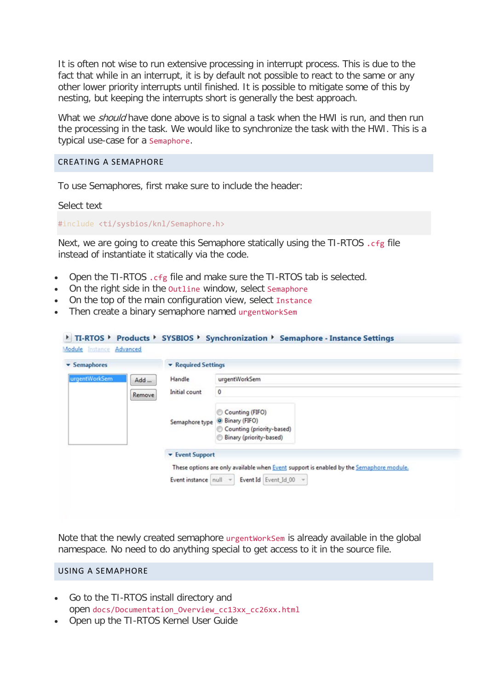It is often not wise to run extensive processing in interrupt process. This is due to the fact that while in an interrupt, it is by default not possible to react to the same or any other lower priority interrupts until finished. It is possible to mitigate some of this by nesting, but keeping the interrupts short is generally the best approach.

What we *should* have done above is to signal a task when the HWI is run, and then run the processing in the task. We would like to synchronize the task with the HWI. This is a typical use-case for a Semaphore.

#### CREATING A SEMAPHORE

To use Semaphores, first make sure to include the header:

Select text

#include <ti/sysbios/knl/Semaphore.h>

Next, we are going to create this Semaphore statically using the TI-RTOS .cfg file instead of instantiate it statically via the code.

- Open the TI-RTOS .cfg file and make sure the TI-RTOS tab is selected.
- On the right side in the outline window, select Semaphore
- On the top of the main configuration view, select Instance
- Then create a binary semaphore named urgentWorkSem

| Semaphores    |     | ▼ Required Settings    |                                                                                                                                                        |  |  |
|---------------|-----|------------------------|--------------------------------------------------------------------------------------------------------------------------------------------------------|--|--|
| urgentWorkSem | Add | Handle                 | urgentWorkSem                                                                                                                                          |  |  |
| Remove        |     | Initial count          | $\circ$                                                                                                                                                |  |  |
|               |     | Semaphore type         | Counting (FIFO)<br>Binary (FIFO)<br>Counting (priority-based)<br>Binary (priority-based)                                                               |  |  |
|               |     | <b>v</b> Event Support |                                                                                                                                                        |  |  |
|               |     |                        | These options are only available when Event support is enabled by the Semaphore module.<br>Event instance $\  \text{null} \ $ v Event Id Event Id 00 v |  |  |

Note that the newly created semaphore urgentWorkSem is already available in the global namespace. No need to do anything special to get access to it in the source file.

#### USING A SEMAPHORE

- Go to the TI-RTOS install directory and open docs/Documentation\_Overview\_cc13xx\_cc26xx.html
- Open up the TI-RTOS Kernel User Guide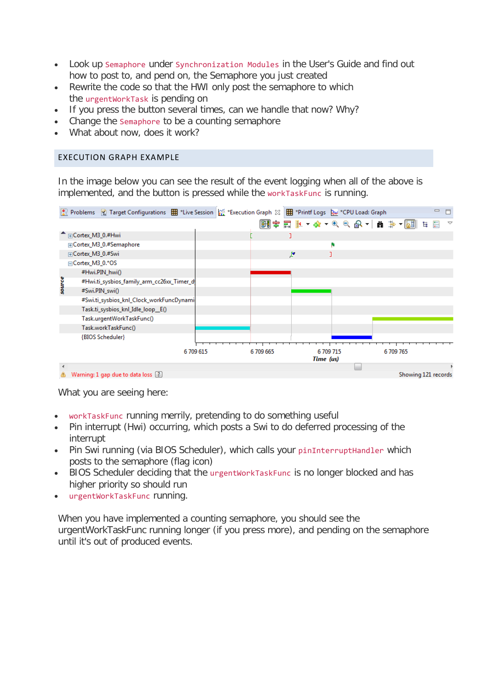- Look up Semaphore under Synchronization Modules in the User's Guide and find out how to post to, and pend on, the Semaphore you just created
- Rewrite the code so that the HWI only post the semaphore to which the urgentWorkTask is pending on
- If you press the button several times, can we handle that now? Why?
- Change the semaphore to be a counting semaphore
- What about now, does it work?

# EXECUTION GRAPH EXAMPLE

In the image below you can see the result of the event logging when all of the above is implemented, and the button is pressed while the workTaskFunc is running.



What you are seeing here:

- workTaskFunc running merrily, pretending to do something useful
- Pin interrupt (Hwi) occurring, which posts a Swi to do deferred processing of the interrupt
- Pin Swi running (via BIOS Scheduler), which calls your pinInterruptHandler which posts to the semaphore (flag icon)
- BIOS Scheduler deciding that the urgentWorkTaskFunc is no longer blocked and has higher priority so should run
- urgentWorkTaskFunc running.

When you have implemented a counting semaphore, you should see the urgentWorkTaskFunc running longer (if you press more), and pending on the semaphore until it's out of produced events.